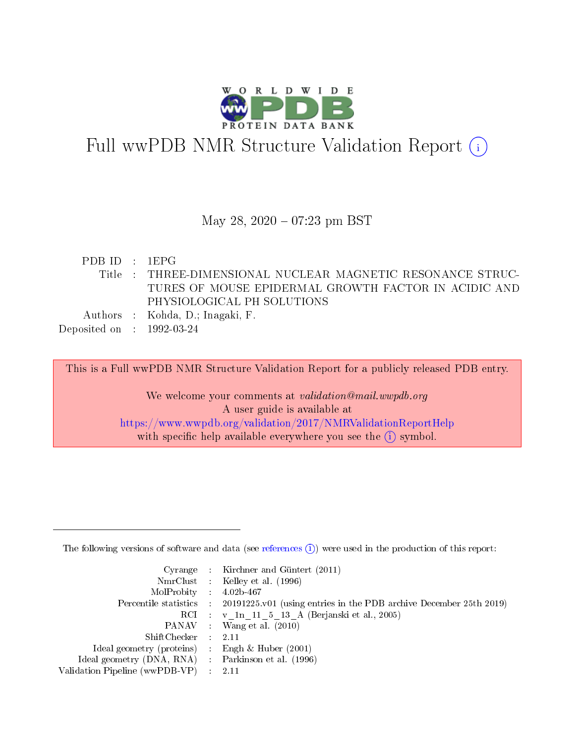

# Full wwPDB NMR Structure Validation Report (i)

#### May 28,  $2020 - 07:23$  pm BST

PDB ID : 1EPG Title : THREE-DIMENSIONAL NUCLEAR MAGNETIC RESONANCE STRUC-TURES OF MOUSE EPIDERMAL GROWTH FACTOR IN ACIDIC AND PHYSIOLOGICAL PH SOLUTIONS Authors : Kohda, D.; Inagaki, F. Deposited on : 1992-03-24

This is a Full wwPDB NMR Structure Validation Report for a publicly released PDB entry.

We welcome your comments at *validation@mail.wwpdb.org* A user guide is available at <https://www.wwpdb.org/validation/2017/NMRValidationReportHelp> with specific help available everywhere you see the  $(i)$  symbol.

The following versions of software and data (see [references](https://www.wwpdb.org/validation/2017/NMRValidationReportHelp#references)  $(1)$ ) were used in the production of this report:

|                                                     | Cyrange : Kirchner and Güntert $(2011)$                                                    |
|-----------------------------------------------------|--------------------------------------------------------------------------------------------|
|                                                     | NmrClust : Kelley et al. (1996)                                                            |
| $MolProbability$ 4.02b-467                          |                                                                                            |
|                                                     | Percentile statistics : 20191225.v01 (using entries in the PDB archive December 25th 2019) |
|                                                     | RCI : v 1n 11 5 13 A (Berjanski et al., 2005)                                              |
|                                                     | PANAV Wang et al. (2010)                                                                   |
| $ShiftChecker$ 2.11                                 |                                                                                            |
| Ideal geometry (proteins) : Engh $\&$ Huber (2001)  |                                                                                            |
| Ideal geometry (DNA, RNA) : Parkinson et al. (1996) |                                                                                            |
| Validation Pipeline (wwPDB-VP)                      | $\sim 2.11$                                                                                |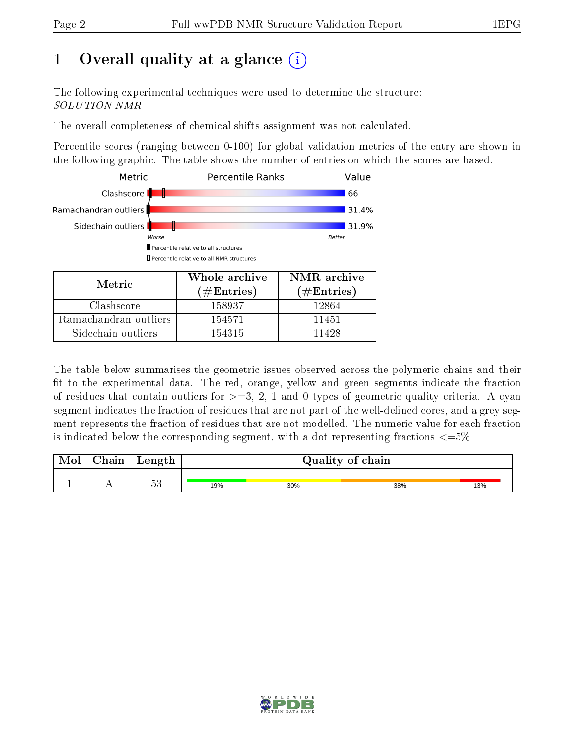## 1 [O](https://www.wwpdb.org/validation/2017/NMRValidationReportHelp#overall_quality)verall quality at a glance  $(i)$

The following experimental techniques were used to determine the structure: SOLUTION NMR

The overall completeness of chemical shifts assignment was not calculated.

Percentile scores (ranging between 0-100) for global validation metrics of the entry are shown in the following graphic. The table shows the number of entries on which the scores are based.



| Metric                | $\bf{v}$ interested in $\bf{c}$<br>$(\#\text{Entries})$ | $\blacksquare$<br>$(\#Entries)$ |
|-----------------------|---------------------------------------------------------|---------------------------------|
| Clashscore            | 158937                                                  | 12864                           |
| Ramachandran outliers | 154571                                                  | 11451                           |
| Sidechain outliers    | 154315                                                  | 11428                           |

The table below summarises the geometric issues observed across the polymeric chains and their fit to the experimental data. The red, orange, yellow and green segments indicate the fraction of residues that contain outliers for  $>=3, 2, 1$  and 0 types of geometric quality criteria. A cyan segment indicates the fraction of residues that are not part of the well-defined cores, and a grey segment represents the fraction of residues that are not modelled. The numeric value for each fraction is indicated below the corresponding segment, with a dot representing fractions  $\epsilon = 5\%$ 

| <b>NIOI</b> | $\cap$ hain | $\frac{1}{2}$ or $\frac{1}{2}$<br>neugun |     | Quality of chain |     |     |  |  |
|-------------|-------------|------------------------------------------|-----|------------------|-----|-----|--|--|
|             | . .         | ∩ ۳<br>h.<br>ಀಀ                          | 19% | 30%              | 38% | 13% |  |  |

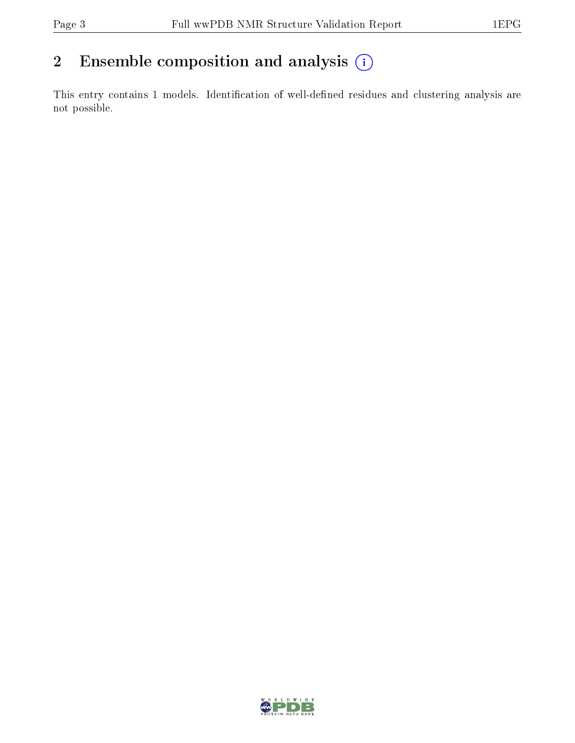## 2 Ensemble composition and analysis  $(i)$

This entry contains 1 models. Identification of well-defined residues and clustering analysis are not possible.

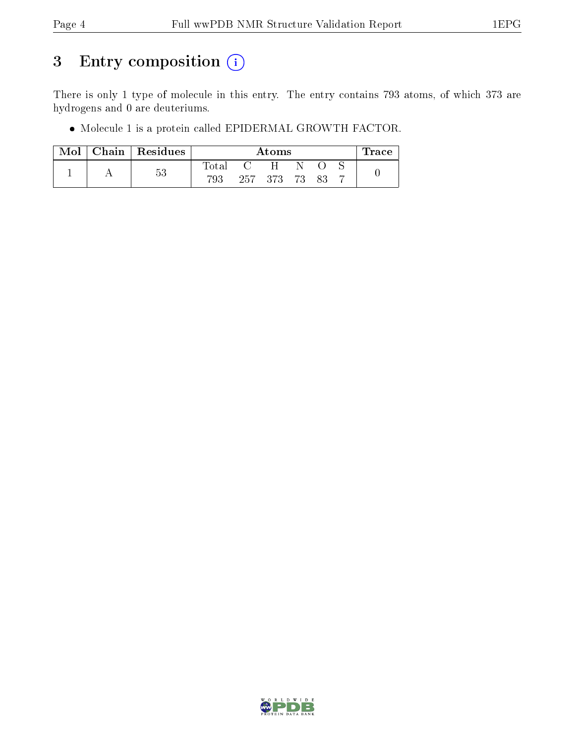## 3 Entry composition (i)

There is only 1 type of molecule in this entry. The entry contains 793 atoms, of which 373 are hydrogens and 0 are deuteriums.

Molecule 1 is a protein called EPIDERMAL GROWTH FACTOR.

|  | $Mol$   Chain   Residues |             | Atoms |               |    |  |  | race |
|--|--------------------------|-------------|-------|---------------|----|--|--|------|
|  |                          | $\rm Total$ |       | H             | N. |  |  |      |
|  | 53                       | 793         |       | 257 373 73 83 |    |  |  |      |

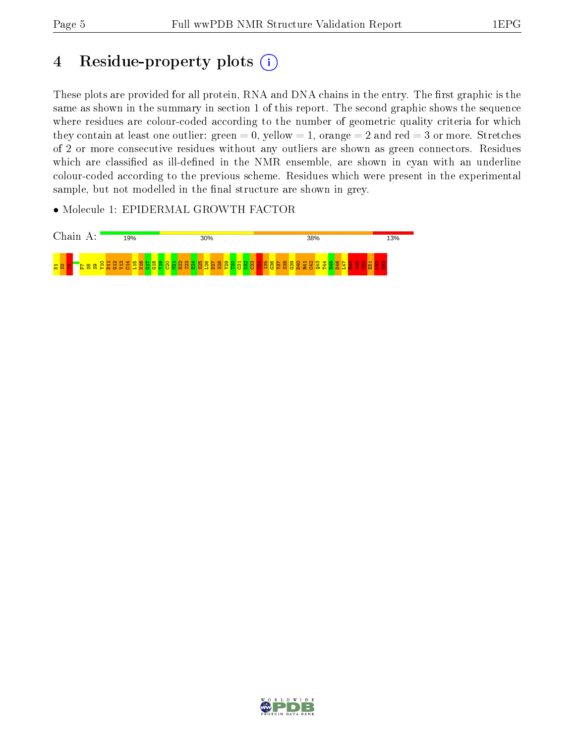## 4 Residue-property plots  $(i)$

These plots are provided for all protein, RNA and DNA chains in the entry. The first graphic is the same as shown in the summary in section 1 of this report. The second graphic shows the sequence where residues are colour-coded according to the number of geometric quality criteria for which they contain at least one outlier: green  $= 0$ , yellow  $= 1$ , orange  $= 2$  and red  $= 3$  or more. Stretches of 2 or more consecutive residues without any outliers are shown as green connectors. Residues which are classified as ill-defined in the NMR ensemble, are shown in cyan with an underline colour-coded according to the previous scheme. Residues which were present in the experimental sample, but not modelled in the final structure are shown in grey.

• Molecule 1: EPIDERMAL GROWTH FACTOR



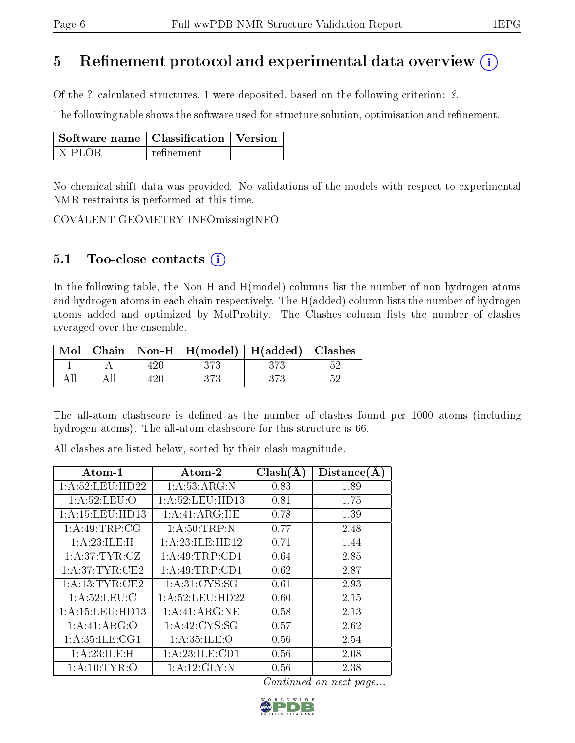### 5 Refinement protocol and experimental data overview  $\binom{1}{k}$

Of the ? calculated structures, 1 were deposited, based on the following criterion: ?.

The following table shows the software used for structure solution, optimisation and refinement.

| $\mid$ Software name $\mid$ Classification $\mid$ Version |            |  |
|-----------------------------------------------------------|------------|--|
| X-PLOR                                                    | refinement |  |

No chemical shift data was provided. No validations of the models with respect to experimental NMR restraints is performed at this time.

COVALENT-GEOMETRY INFOmissingINFO

#### 5.1 Too-close contacts  $(i)$

In the following table, the Non-H and H(model) columns list the number of non-hydrogen atoms and hydrogen atoms in each chain respectively. The H(added) column lists the number of hydrogen atoms added and optimized by MolProbity. The Clashes column lists the number of clashes averaged over the ensemble.

| Mol |  | Chain   Non-H   $H(model)$   $H(added)$   Clashes |     |
|-----|--|---------------------------------------------------|-----|
|     |  |                                                   |     |
|     |  |                                                   | .KG |

The all-atom clashscore is defined as the number of clashes found per 1000 atoms (including hydrogen atoms). The all-atom clashscore for this structure is 66.

All clashes are listed below, sorted by their clash magnitude.

| Atom-1             | Atom-2             | Clash(A) | Distance(A) |
|--------------------|--------------------|----------|-------------|
| 1:A:52:LEU:HD22    | 1:A:53:ARG:N       | 0.83     | 1.89        |
| 1: A:52:LEU:O      | 1: A:52:LEU:HD13   | 0.81     | 1.75        |
| 1:A:15:LEU:HD13    | 1:A:41:ARG:HE      | 0.78     | 1.39        |
| 1: A:49:TRP:CG     | 1: A:50:TRP:N      | 0.77     | 2.48        |
| 1:A:23:ILE:H       | 1: A:23: ILE: HD12 | 0.71     | 1.44        |
| 1:A:37:TYR:CZ      | 1: A:49:TRP:CD1    | 0.64     | 2.85        |
| 1: A:37:TYR:CE2    | 1:A:49:TRP:CD1     | 0.62     | 2.87        |
| 1: A: 13: TYR: CE2 | 1: A:31: CYS:SG    | 0.61     | 2.93        |
| 1: A:52:LEU:C      | 1: A:52: LEU: HD22 | 0.60     | 2.15        |
| 1:A:15:LEU:HD13    | 1:A:41:ARG:NE      | 0.58     | 2.13        |
| 1:A:41:ARG:O       | 1:A:42:CYS:SG      | 0.57     | 2.62        |
| 1: A:35: ILE: CG1  | 1: A:35: ILE: O    | 0.56     | 2.54        |
| 1: A:23: ILE:H     | 1:A:23:ILE:CD1     | 0.56     | 2.08        |
| 1: A:10: TYR:O     | 1: A:12: GLY:N     | 0.56     | 2.38        |

Continued on next page...

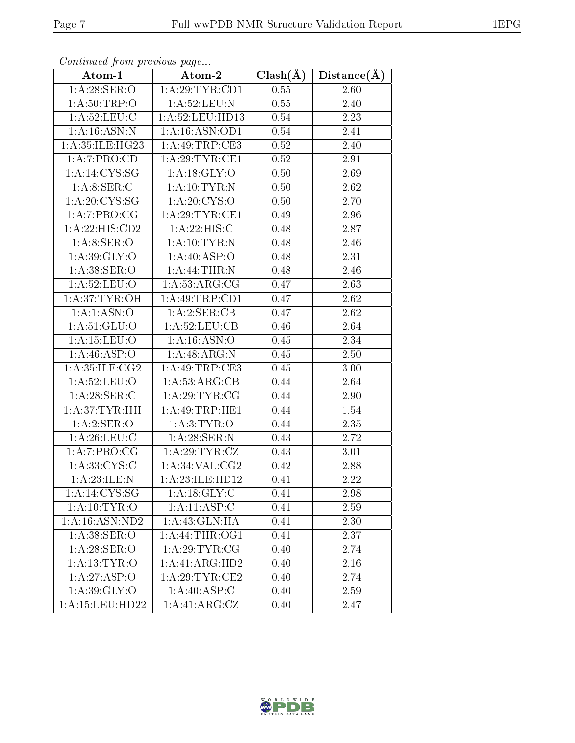| Atom-1                    | $\overline{\text{Atom-2}}$ | $Clash(\AA)$      | Distance(A) |
|---------------------------|----------------------------|-------------------|-------------|
| 1: A:28: SER: O           | 1:A:29:TYR:CD1             | 0.55              | 2.60        |
| 1: A:50:TRP:O             | 1: A:52:LEU: N             | $\overline{0.55}$ | 2.40        |
| 1: A:52:LEU: C            | 1: A:52: LEU: HD13         | $0.54\,$          | 2.23        |
| 1:A:16:ASN:N              | 1:A:16:ASN:OD1             | 0.54              | 2.41        |
| 1:A:35:ILE:HG23           | 1: A:49:TRP:CE3            | 0.52              | 2.40        |
| 1:A:7:PRO:CD              | 1: A:29:TYR:CE1            | 0.52              | 2.91        |
| 1: A:14:CYS:SG            | 1: A:18: GLY:O             | 0.50              | 2.69        |
| 1: A:8: SER:C             | 1: A: 10: TYR: N           | 0.50              | 2.62        |
| 1: A:20: CYS:SG           | 1: A:20: CYS:O             | 0.50              | 2.70        |
| 1:A:7:PRO:CG              | 1: A:29:TYR:CE1            | 0.49              | 2.96        |
| 1:A:22:HIS:CD2            | 1: A:22: HIS:C             | 0.48              | 2.87        |
| 1: A:8: SER:O             | 1: A: 10: TYR: N           | 0.48              | 2.46        |
| 1: A:39: GLY:O            | 1:A:40:ASP:O               | 0.48              | 2.31        |
| 1: A:38: SER:O            | 1: A:44:THR:N              | 0.48              | 2.46        |
| 1: A:52:LEU:O             | 1: A:53: ARG:CG            | 0.47              | 2.63        |
| 1: A:37:TYR:OH            | 1:A:49:TRP:CD1             | 0.47              | 2.62        |
| 1:A:1:ASN:O               | 1:A:2:SER:CB               | 0.47              | 2.62        |
| 1:A:51:GLU:O              | 1: A:52:LEU:CB             | 0.46              | 2.64        |
| 1: A: 15: LEU: O          | 1: A: 16: ASN: O           | 0.45              | 2.34        |
| $1:A:46:A\overline{SP:O}$ | 1:A:48:ARG:N               | 0.45              | 2.50        |
| 1:A:35:ILE:CG2            | 1: A:49:TRP:CE3            | 0.45              | 3.00        |
| 1: A:52: LEU:O            | 1: A: 53: ARG: CB          | 0.44              | 2.64        |
| 1:A:28:SER:C              | 1: A:29:TYR:CG             | 0.44              | 2.90        |
| 1: A:37:TYR:HH            | 1:A:49:TRP:HE1             | 0.44              | 1.54        |
| 1:A:2:SER:O               | 1: A:3: TYR:O              | 0.44              | 2.35        |
| 1: A:26: LEU: C           | 1: A:28: SER: N            | 0.43              | 2.72        |
| 1:A:7:PRO:CG              | 1: A:29:TYR:CZ             | 0.43              | 3.01        |
| 1: A:33: CYS:C            | 1: A:34: VAL: CG2          | 0.42              | 2.88        |
| 1: A: 23: ILE:N           | 1:A:23:ILE:HD12            | 0.41              | 2.22        |
| 1:A:14:CYS:SG             | 1:A:18:GLY:C               | 0.41              | 2.98        |
| 1: A:10:TYR:O             | 1:A:11:ASP:C               | 0.41              | 2.59        |
| 1: A:16: ASN:ND2          | 1: A: 43: GLN: HA          | 0.41              | 2.30        |
| 1: A:38: SER:O            | 1: A:44:THR:OG1            | 0.41              | 2.37        |
| 1: A:28: SER:O            | 1: A:29:TYR:CG             | 0.40              | 2.74        |
| 1: A: 13: TYR: O          | 1:A:41:ARG:HD2             | 0.40              | 2.16        |
| 1:A:27:ASP:O              | 1: A:29:TYR:CE2            | 0.40              | 2.74        |
| 1: A:39: GLY:O            | 1:A:40:ASP:C               | 0.40              | 2.59        |
| 1: A: 15: LEU: HD22       | 1:A:41:ARG:CZ              | 0.40              | 2.47        |

Continued from previous page...

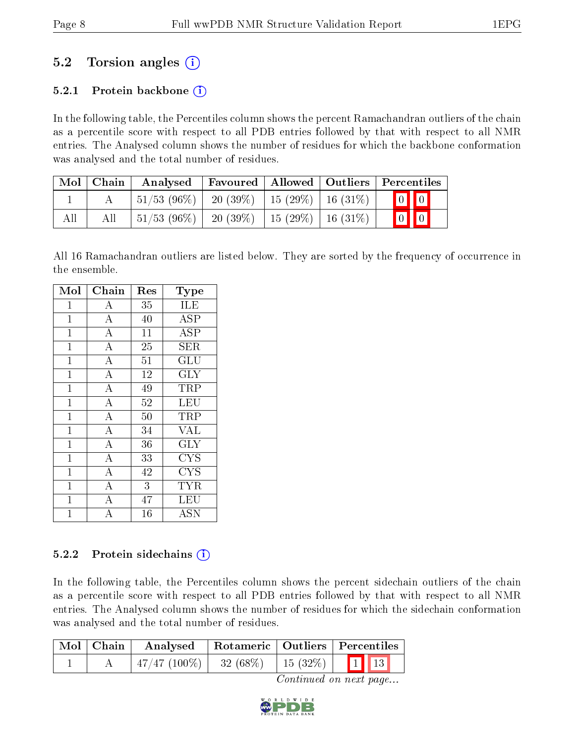### 5.2 Torsion angles (i)

#### 5.2.1 Protein backbone  $(i)$

In the following table, the Percentiles column shows the percent Ramachandran outliers of the chain as a percentile score with respect to all PDB entries followed by that with respect to all NMR entries. The Analysed column shows the number of residues for which the backbone conformation was analysed and the total number of residues.

| $\text{Mol}$ | $\mid$ Chain | Analysed                 |                                    |                     | Favoured   Allowed   Outliers   Percentiles |
|--------------|--------------|--------------------------|------------------------------------|---------------------|---------------------------------------------|
|              |              | $\pm 51/53$ (96\%) $\pm$ | $20(39\%)$   15 (29\%)   16 (31\%) |                     | $\boxed{0}$ $\boxed{0}$                     |
| All          |              | $51/53(96\%)$            | 20 (39\%)                          | 15 (29%)   16 (31%) | $\boxed{0}$ $\boxed{0}$                     |

All 16 Ramachandran outliers are listed below. They are sorted by the frequency of occurrence in the ensemble.

| Mol            | Chain              | Res            | Type                    |
|----------------|--------------------|----------------|-------------------------|
| 1              | A                  | 35             | ILE                     |
| $\mathbf{1}$   | $\boldsymbol{A}$   | 40             | <b>ASP</b>              |
| $\mathbf{1}$   | $\overline{\rm A}$ | 11             | <b>ASP</b>              |
| $\mathbf{1}$   | $\overline{\rm A}$ | 25             | <b>SER</b>              |
| $\mathbf{1}$   | $\overline{\rm A}$ | 51             | GLU                     |
| $\overline{1}$ | $\overline{\rm A}$ | 12             | $\overline{\text{GLY}}$ |
| $\mathbf 1$    | $\overline{A}$     | 49             | TRP                     |
| $\mathbf{1}$   | $\overline{\rm A}$ | 52             | LEU                     |
| $\mathbf{1}$   | $\overline{A}$     | 50             | TRP                     |
| $\mathbf{1}$   | $\overline{A}$     | 34             | VĀL                     |
| $\overline{1}$ | $\overline{\rm A}$ | 36             | GLY                     |
| $\mathbf 1$    | $\bf{A}$           | 33             | <b>CYS</b>              |
| $\mathbf 1$    | $\overline{\rm A}$ | 42             | <b>CYS</b>              |
| $\mathbf{1}$   | $\overline{A}$     | $\overline{3}$ | <b>TYR</b>              |
| $\mathbf{1}$   | $\bf{A}$           | 47             | LEU                     |
| 1              | $\overline{\rm A}$ | 16             | <b>ASN</b>              |

#### $5.2.2$  Protein sidechains  $(i)$

In the following table, the Percentiles column shows the percent sidechain outliers of the chain as a percentile score with respect to all PDB entries followed by that with respect to all NMR entries. The Analysed column shows the number of residues for which the sidechain conformation was analysed and the total number of residues.

| Mol   Chain | Analysed                                           |  | Rotameric   Outliers   Percentiles |
|-------------|----------------------------------------------------|--|------------------------------------|
|             | $\mid$ 47/47 (100%)   32 (68%)   15 (32%)   1 1 13 |  |                                    |

Continued on next page...

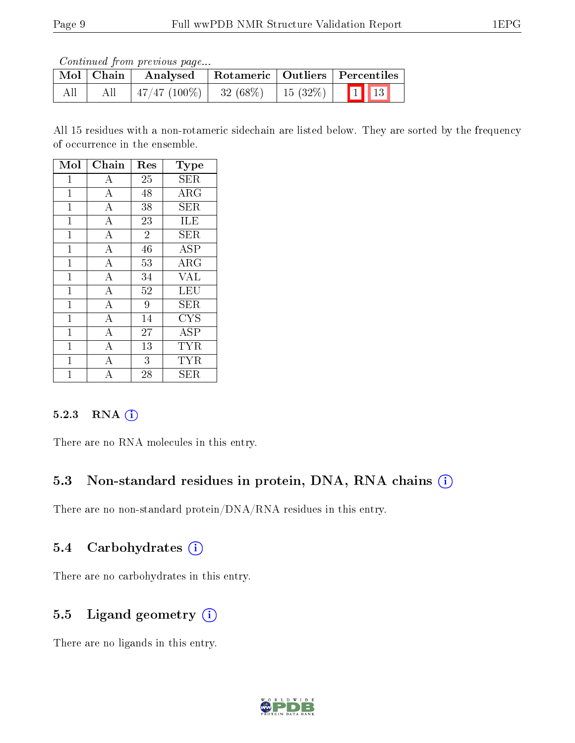Continued from previous page...

|     | Mol   Chain | Analysed                   |         | Rotameric   Outliers   Percentiles |
|-----|-------------|----------------------------|---------|------------------------------------|
| All | All         | $\mid$ 47/47 (100%) $\mid$ | 32(68%) | $15(32%)$ 1 13                     |

All 15 residues with a non-rotameric sidechain are listed below. They are sorted by the frequency of occurrence in the ensemble.

| Mol            | Chain              | Res            | Type                           |
|----------------|--------------------|----------------|--------------------------------|
| 1              | A                  | 25             | <b>SER</b>                     |
| $\mathbf 1$    | $\boldsymbol{A}$   | 48             | ARG                            |
| $\overline{1}$ | $\overline{\rm A}$ | 38             | <b>SER</b>                     |
| $\mathbf 1$    | $\overline{A}$     | 23             | ILE                            |
| $\mathbf 1$    | $\boldsymbol{A}$   | $\overline{2}$ | SER                            |
| $\overline{1}$ | $\overline{\rm A}$ | 46             | <b>ASP</b>                     |
| $\mathbf 1$    | А                  | 53             | $\rm{ARG}$                     |
| $\overline{1}$ | $\boldsymbol{A}$   | 34             | <b>VAL</b>                     |
| $\overline{1}$ | $\overline{A}$     | 52             | <b>LEU</b>                     |
| 1              | $\overline{A}$     | 9              | SER                            |
| $\mathbf{1}$   | $\boldsymbol{A}$   | 14             | ${\rm CYS}$                    |
| $\mathbf{1}$   | $\overline{A}$     | 27             | $\overline{\text{A}}\text{SP}$ |
| 1              | $\overline{A}$     | 13             | <b>TYR</b>                     |
| $\mathbf{1}$   | А                  | 3              | TYR                            |
| 1              | А                  | 28             | <b>SER</b>                     |

#### 5.2.3 RNA (i)

There are no RNA molecules in this entry.

#### 5.3 Non-standard residues in protein, DNA, RNA chains (i)

There are no non-standard protein/DNA/RNA residues in this entry.

#### 5.4 Carbohydrates (i)

There are no carbohydrates in this entry.

#### 5.5 Ligand geometry  $(i)$

There are no ligands in this entry.

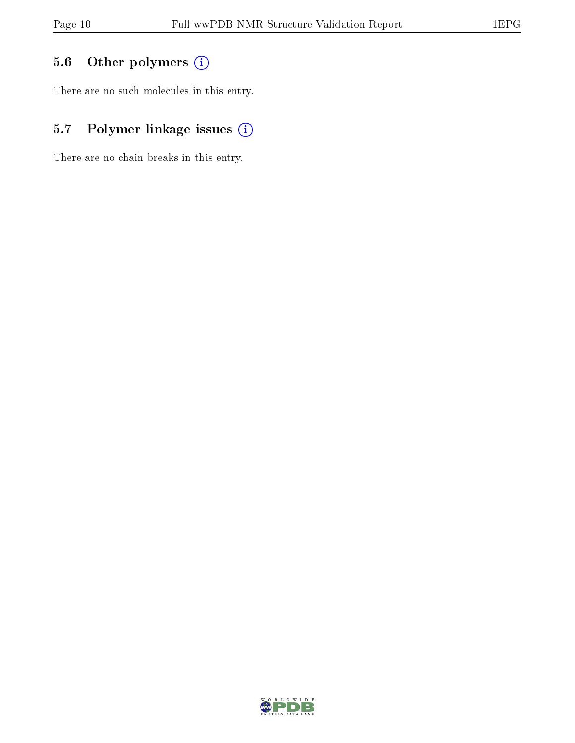### 5.6 [O](https://www.wwpdb.org/validation/2017/NMRValidationReportHelp#nonstandard_residues_and_ligands)ther polymers (i)

There are no such molecules in this entry.

### 5.7 Polymer linkage issues (i)

There are no chain breaks in this entry.